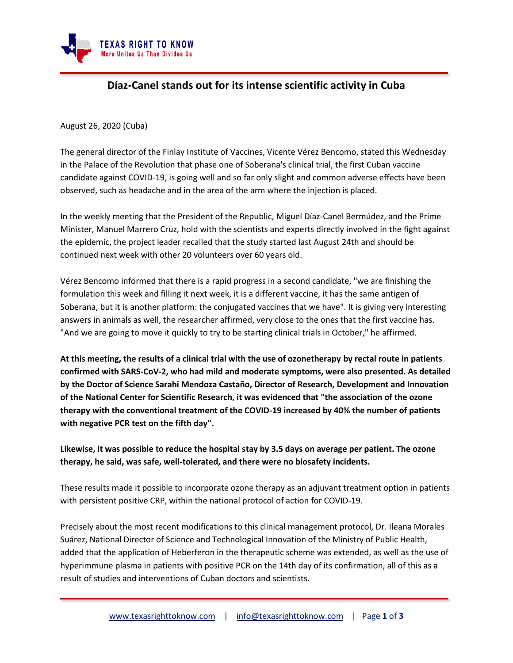

## **Díaz-Canel stands out for its intense scientific activity in Cuba**

August 26, 2020 (Cuba)

The general director of the Finlay Institute of Vaccines, Vicente Vérez Bencomo, stated this Wednesday in the Palace of the Revolution that phase one of Soberana's clinical trial, the first Cuban vaccine candidate against COVID-19, is going well and so far only slight and common adverse effects have been observed, such as headache and in the area of the arm where the injection is placed.

In the weekly meeting that the President of the Republic, Miguel Díaz-Canel Bermúdez, and the Prime Minister, Manuel Marrero Cruz, hold with the scientists and experts directly involved in the fight against the epidemic, the project leader recalled that the study started last August 24th and should be continued next week with other 20 volunteers over 60 years old.

Vérez Bencomo informed that there is a rapid progress in a second candidate, "we are finishing the formulation this week and filling it next week, it is a different vaccine, it has the same antigen of Soberana, but it is another platform: the conjugated vaccines that we have". It is giving very interesting answers in animals as well, the researcher affirmed, very close to the ones that the first vaccine has. "And we are going to move it quickly to try to be starting clinical trials in October," he affirmed.

**At this meeting, the results of a clinical trial with the use of ozonetherapy by rectal route in patients confirmed with SARS-CoV-2, who had mild and moderate symptoms, were also presented. As detailed by the Doctor of Science Sarahi Mendoza Castaño, Director of Research, Development and Innovation of the National Center for Scientific Research, it was evidenced that "the association of the ozone therapy with the conventional treatment of the COVID-19 increased by 40% the number of patients with negative PCR test on the fifth day".**

**Likewise, it was possible to reduce the hospital stay by 3.5 days on average per patient. The ozone therapy, he said, was safe, well-tolerated, and there were no biosafety incidents.**

These results made it possible to incorporate ozone therapy as an adjuvant treatment option in patients with persistent positive CRP, within the national protocol of action for COVID-19.

Precisely about the most recent modifications to this clinical management protocol, Dr. Ileana Morales Suárez, National Director of Science and Technological Innovation of the Ministry of Public Health, added that the application of Heberferon in the therapeutic scheme was extended, as well as the use of hyperimmune plasma in patients with positive PCR on the 14th day of its confirmation, all of this as a result of studies and interventions of Cuban doctors and scientists.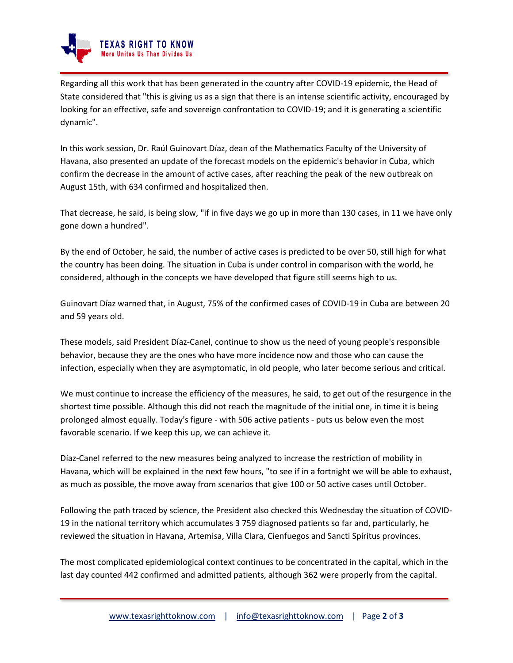

Regarding all this work that has been generated in the country after COVID-19 epidemic, the Head of State considered that "this is giving us as a sign that there is an intense scientific activity, encouraged by looking for an effective, safe and sovereign confrontation to COVID-19; and it is generating a scientific dynamic".

In this work session, Dr. Raúl Guinovart Díaz, dean of the Mathematics Faculty of the University of Havana, also presented an update of the forecast models on the epidemic's behavior in Cuba, which confirm the decrease in the amount of active cases, after reaching the peak of the new outbreak on August 15th, with 634 confirmed and hospitalized then.

That decrease, he said, is being slow, "if in five days we go up in more than 130 cases, in 11 we have only gone down a hundred".

By the end of October, he said, the number of active cases is predicted to be over 50, still high for what the country has been doing. The situation in Cuba is under control in comparison with the world, he considered, although in the concepts we have developed that figure still seems high to us.

Guinovart Díaz warned that, in August, 75% of the confirmed cases of COVID-19 in Cuba are between 20 and 59 years old.

These models, said President Díaz-Canel, continue to show us the need of young people's responsible behavior, because they are the ones who have more incidence now and those who can cause the infection, especially when they are asymptomatic, in old people, who later become serious and critical.

We must continue to increase the efficiency of the measures, he said, to get out of the resurgence in the shortest time possible. Although this did not reach the magnitude of the initial one, in time it is being prolonged almost equally. Today's figure - with 506 active patients - puts us below even the most favorable scenario. If we keep this up, we can achieve it.

Díaz-Canel referred to the new measures being analyzed to increase the restriction of mobility in Havana, which will be explained in the next few hours, "to see if in a fortnight we will be able to exhaust, as much as possible, the move away from scenarios that give 100 or 50 active cases until October.

Following the path traced by science, the President also checked this Wednesday the situation of COVID-19 in the national territory which accumulates 3 759 diagnosed patients so far and, particularly, he reviewed the situation in Havana, Artemisa, Villa Clara, Cienfuegos and Sancti Spíritus provinces.

The most complicated epidemiological context continues to be concentrated in the capital, which in the last day counted 442 confirmed and admitted patients, although 362 were properly from the capital.